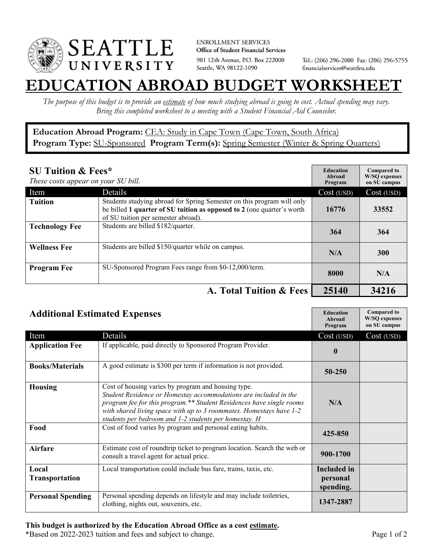

**ENROLLMENT SERVICES** Office of Student Financial Services 901 12th Avenue, P.O. Box 222000 Seattle, WA 98122-1090

Tel.: (206) 296-2000 Fax: (206) 296-5755 financialservices@seattleu.edu

## **EATION ABROAD BUDGET WORKSHEE**

*The purpose of this budget is to provide an estimate of how much studying abroad is going to cost. Actual spending may vary. Bring this completed worksheet to a meeting with a Student Financial Aid Counselor.* 

## Education Abroad Program: CEA: Study in Cape Town (Cape Town, South Africa) Program Type: **SU-Sponsored** Program Term(s): **Spring Semester** (Winter & Spring Quarters)

| <b>SU Tuition &amp; Fees*</b><br>These costs appear on your SU bill. |                                                                                                                                                                                         | <b>Education</b><br>Abroad<br>Program | <b>Compared to</b><br><b>W/SO</b> expenses<br>on SU campus |
|----------------------------------------------------------------------|-----------------------------------------------------------------------------------------------------------------------------------------------------------------------------------------|---------------------------------------|------------------------------------------------------------|
| Item                                                                 | <b>Details</b>                                                                                                                                                                          | Cost (USD)                            | Cost (USD)                                                 |
| <b>Tuition</b>                                                       | Students studying abroad for Spring Semester on this program will only<br>be billed 1 quarter of SU tuition as opposed to 2 (one quarter's worth<br>of SU tuition per semester abroad). | 16776                                 | 33552                                                      |
| <b>Technology Fee</b>                                                | Students are billed \$182/quarter.                                                                                                                                                      | 364                                   | 364                                                        |
| <b>Wellness Fee</b>                                                  | Students are billed \$150/quarter while on campus.                                                                                                                                      | N/A                                   | 300                                                        |
| <b>Program Fee</b>                                                   | SU-Sponsored Program Fees range from \$0-12,000/term.                                                                                                                                   | 8000                                  | N/A                                                        |
|                                                                      | A. Total Tuition & Fees                                                                                                                                                                 | 25140                                 | 34216                                                      |

| <b>Additional Estimated Expenses</b> |                                                                                                                                                                                                                                                                                                                                 | <b>Education</b><br>Abroad<br>Program       | <b>Compared to</b><br><b>W/SQ</b> expenses<br>on SU campus |
|--------------------------------------|---------------------------------------------------------------------------------------------------------------------------------------------------------------------------------------------------------------------------------------------------------------------------------------------------------------------------------|---------------------------------------------|------------------------------------------------------------|
| Item                                 | Details                                                                                                                                                                                                                                                                                                                         | Cost (USD)                                  | Cost (USD)                                                 |
| <b>Application Fee</b>               | If applicable, paid directly to Sponsored Program Provider.                                                                                                                                                                                                                                                                     | $\mathbf{0}$                                |                                                            |
| <b>Books/Materials</b>               | A good estimate is \$300 per term if information is not provided.                                                                                                                                                                                                                                                               | 50-250                                      |                                                            |
| <b>Housing</b>                       | Cost of housing varies by program and housing type.<br>Student Residence or Homestay accommodations are included in the<br>program fee for this program.** Student Residences have single rooms<br>with shared living space with up to 3 roommates. Homestays have 1-2<br>students per bedroom and 1-2 students per homestay. H | N/A                                         |                                                            |
| Food                                 | Cost of food varies by program and personal eating habits.                                                                                                                                                                                                                                                                      | 425-850                                     |                                                            |
| <b>Airfare</b>                       | Estimate cost of roundtrip ticket to program location. Search the web or<br>consult a travel agent for actual price.                                                                                                                                                                                                            | 900-1700                                    |                                                            |
| Local<br><b>Transportation</b>       | Local transportation could include bus fare, trains, taxis, etc.                                                                                                                                                                                                                                                                | <b>Included</b> in<br>personal<br>spending. |                                                            |
| <b>Personal Spending</b>             | Personal spending depends on lifestyle and may include toiletries,<br>clothing, nights out, souvenirs, etc.                                                                                                                                                                                                                     | 1347-2887                                   |                                                            |

\*Based on 2022-2023 tuition and fees and subject to change. Page 1 of 2